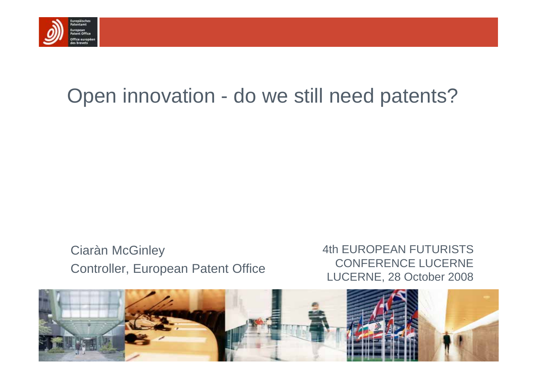

### Open innovation - do we still need patents?

Ciaràn McGinley Controller, European Patent Office 4th EUROPEAN FUTURISTS CONFERENCE LUCERNE LUCERNE, 28 October 2008

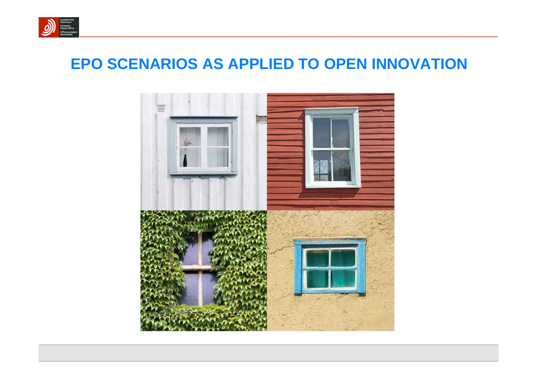

#### **EPO SCENARIOS AS APPLIED TO OPEN INNOVATION**

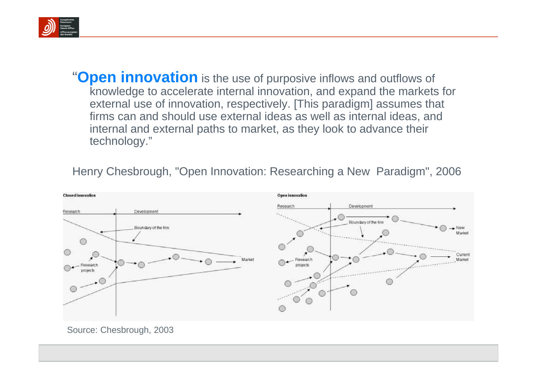

"**Open innovation** is the use of purposive inflows and outflows of knowledge to accelerate internal innovation, and expand the markets for external use of innovation, respectively. [This paradigm] assumes that firms can and should use external ideas as well as internal ideas, and internal and external paths to market, as they look to advance their technology."

Henry Chesbrough, "Open Innovation: Researching a New Paradigm", 2006



Source: Chesbrough, 2003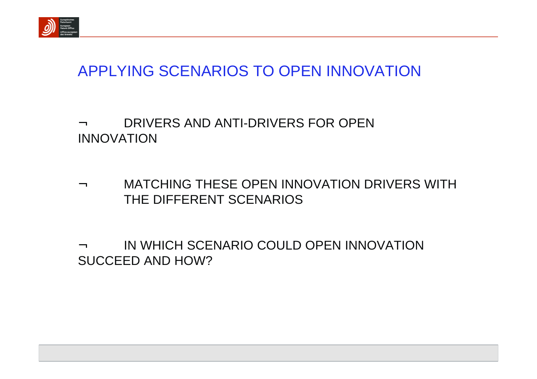

#### APPLYING SCENARIOS TO OPEN INNOVATION

#### ¬ DRIVERS AND ANTI-DRIVERS FOR OPEN INNOVATION

- <sup>¬</sup> MATCHING THESE OPEN INNOVATION DRIVERS WITH THE DIFFERENT SCENARIOS
- <sup>¬</sup> IN WHICH SCENARIO COULD OPEN INNOVATION SUCCEED AND HOW?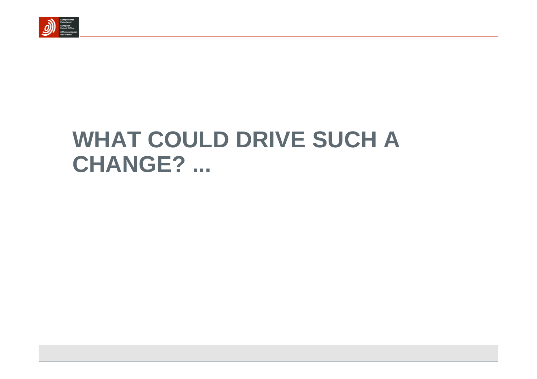

### **WHAT COULD DRIVE SUCH A CHANGE? ...**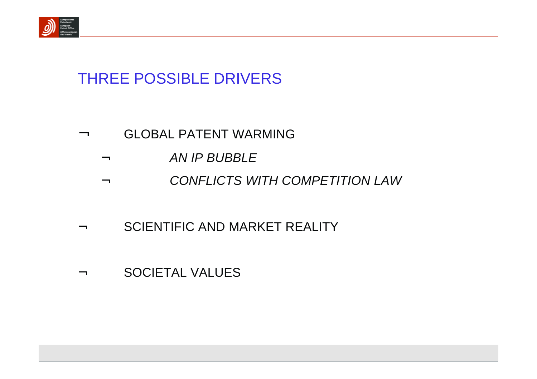

#### THREE POSSIBLE DRIVERS

- $\Box$  GLOBAL PATENT WARMING
	- $\overline{\phantom{0}}$ *AN IP BUBBLE*
	- $\Box$ *CONFLICTS WITH COMPETITION LAW*
- <sup>¬</sup> SCIENTIFIC AND MARKET REALITY
- ¬ SOCIETAL VALUES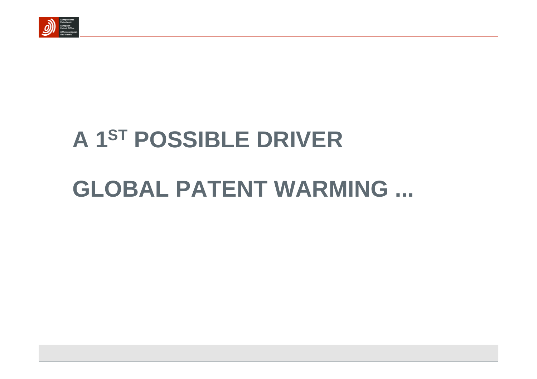

# A 1<sup>ST</sup> POSSIBLE DRIVER **GLOBAL PATENT WARMING ...**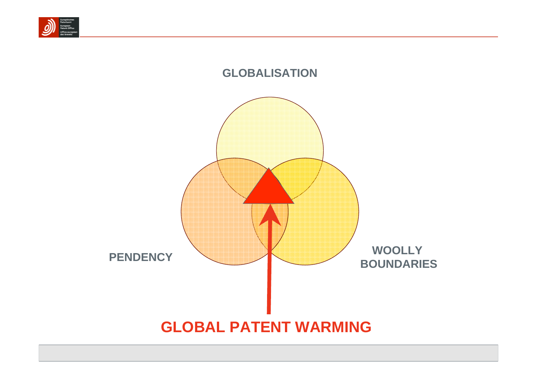

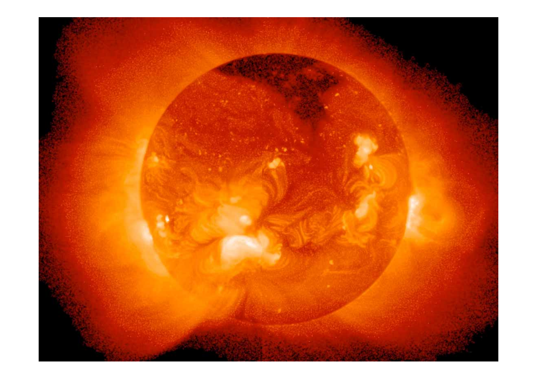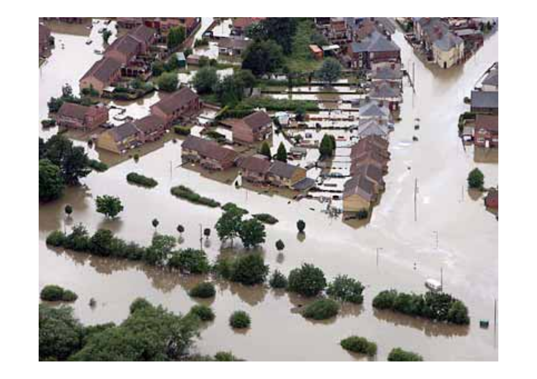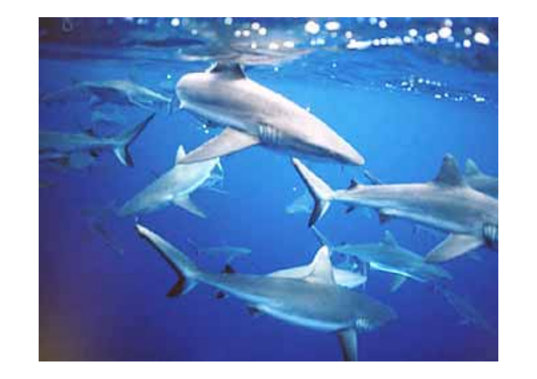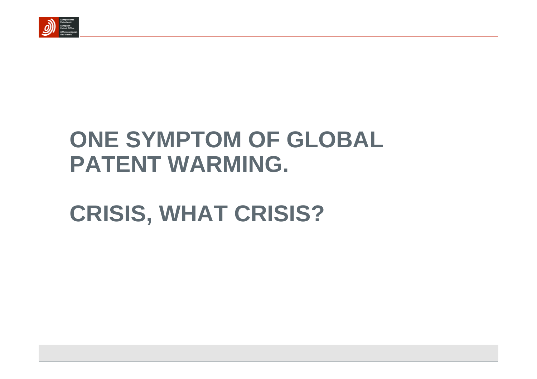

### **ONE SYMPTOM OF GLOBAL PATENT WARMING.**

### **CRISIS, WHAT CRISIS?**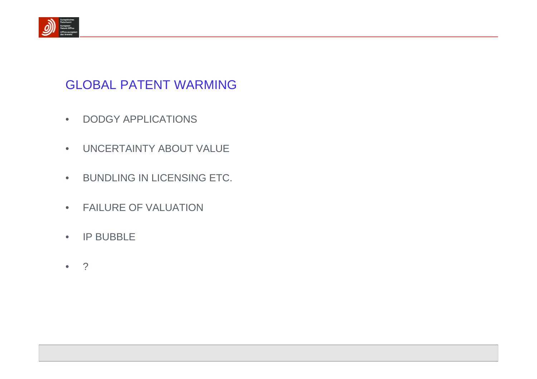

#### GLOBAL PATENT WARMING

- DODGY APPLICATIONS
- UNCERTAINTY ABOUT VALUE
- BUNDLING IN LICENSING ETC.
- FAILURE OF VALUATION
- IP BUBBLE
- ?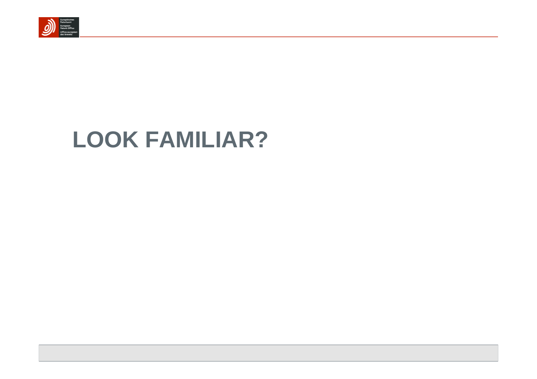

### **LOOK FAMILIAR?**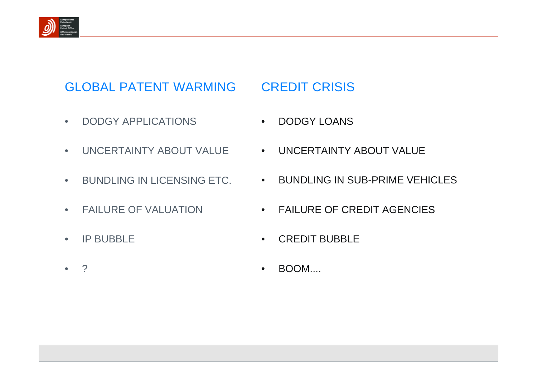

#### GLOBAL PATENT WARMING CREDIT CRISIS

- DODGY APPLICATIONS
- UNCERTAINTY ABOUT VALUE
- BUNDLING IN LICENSING ETC.
- FAILURE OF VALUATION
- IP BUBBLE

• ?

- DODGY LOANS
- UNCERTAINTY ABOUT VALUE
- BUNDLING IN SUB-PRIME VEHICLES
- FAILURE OF CREDIT AGENCIES
- •CREDIT BUBBLE
- •BOOM....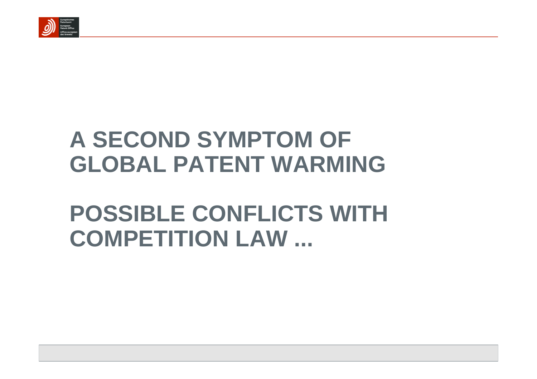

### **A SECOND SYMPTOM OF GLOBAL PATENT WARMING**

### **POSSIBLE CONFLICTS WITH COMPETITION LAW ...**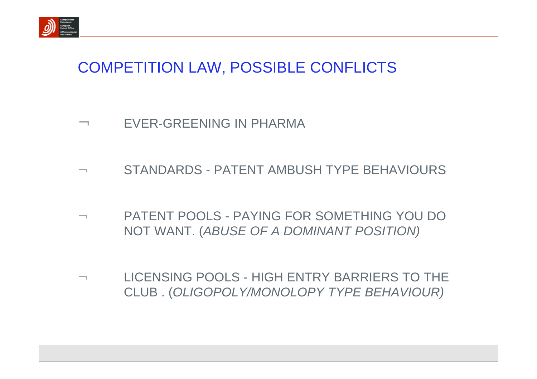

#### COMPETITION LAW, POSSIBLE CONFLICTS

- $\overline{\phantom{0}}$ EVER-GREENING IN PHARMA
- STANDARDS PATENT AMBUSH TYPE BEHAVIOURS
- PATENT POOLS PAYING FOR SOMETHING YOU DO NOT WANT. (*ABUSE OF A DOMINANT POSITION)*
- LICENSING POOLS HIGH ENTRY BARRIERS TO THE CLUB . (*OLIGOPOLY/MONOLOPY TYPE BEHAVIOUR)*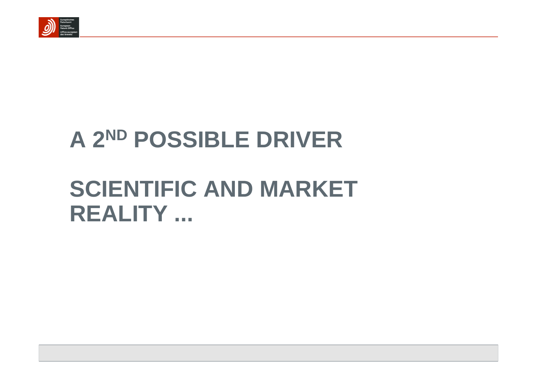

# **A 2ND POSSIBLE DRIVER SCIENTIFIC AND MARKET**

# **REALITY ...**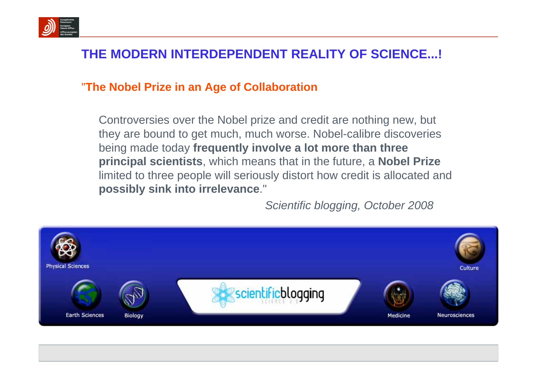

#### **THE MODERN INTERDEPENDENT REALITY OF SCIENCE...!**

#### "**The Nobel Prize in an Age of Collaboration**

 Controversies over the Nobel prize and credit are nothing new, but they are bound to get much, much worse. Nobel-calibre discoveries being made today **frequently involve a lot more than three principal scientists**, which means that in the future, a **Nobel Prize** limited to three people will seriously distort how credit is allocated and **possibly sink into irrelevance**."

*Scientific blogging, October 2008*

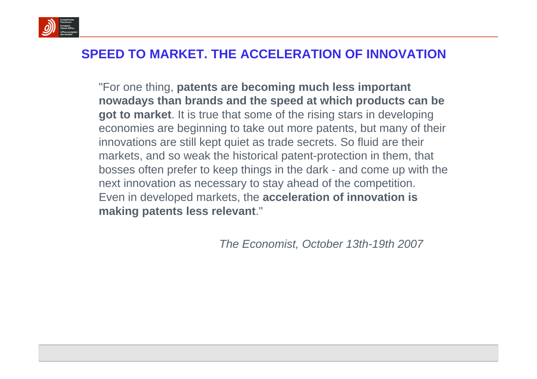

#### **SPEED TO MARKET. THE ACCELERATION OF INNOVATION**

"For one thing, **patents are becoming much less important nowadays than brands and the speed at which products can be got to market**. It is true that some of the rising stars in developing economies are beginning to take out more patents, but many of their innovations are still kept quiet as trade secrets. So fluid are their markets, and so weak the historical patent-protection in them, that bosses often prefer to keep things in the dark - and come up with the next innovation as necessary to stay ahead of the competition. Even in developed markets, the **acceleration of innovation is making patents less relevant**."

*The Economist, October 13th-19th 2007*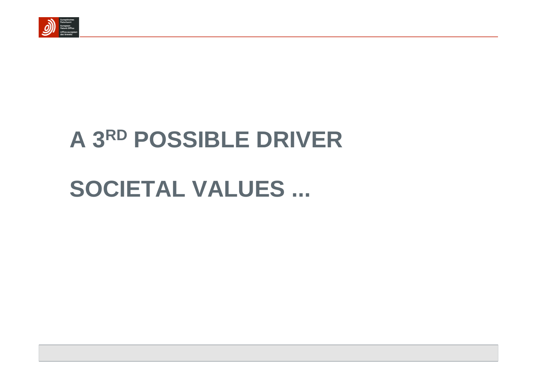

# **A 3RD POSSIBLE DRIVER**

### **SOCIETAL VALUES ...**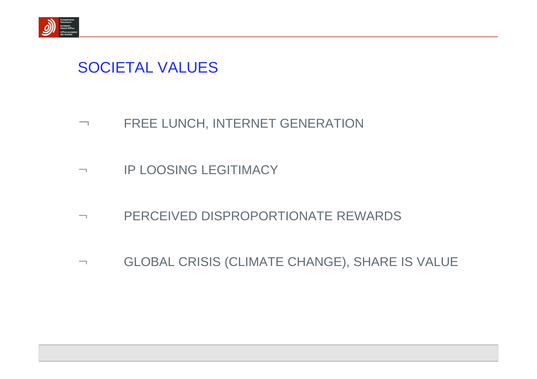

#### SOCIETAL VALUES

- $\overline{\phantom{0}}$ FREE LUNCH, INTERNET GENERATION
- <sup>¬</sup> IP LOOSING LEGITIMACY
- <sup>¬</sup> PERCEIVED DISPROPORTIONATE REWARDS
- ¬ GLOBAL CRISIS (CLIMATE CHANGE), SHARE IS VALUE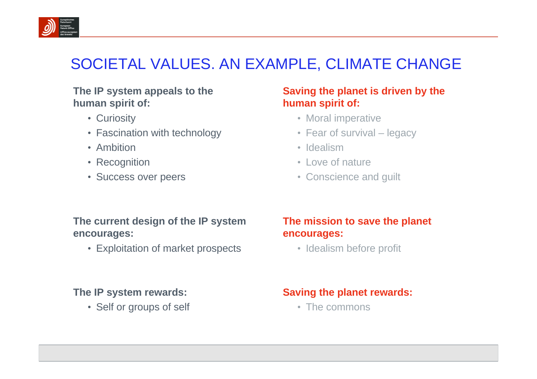

#### SOCIETAL VALUES. AN EXAMPLE, CLIMATE CHANGE

#### **The IP system appeals to the human spirit of:**

- Curiosity
- Fascination with technology
- Ambition
- Recognition
- Success over peers

#### **Saving the planet is driven by the human spirit of:**

- Moral imperative
- Fear of survival legacy
- Idealism
- Love of nature
- Conscience and guilt

#### **The current design of the IP system encourages:**

• Exploitation of market prospects

#### **The IP system rewards:**

• Self or groups of self

#### **The mission to save the planet encourages:**

• Idealism before profit

#### **Saving the planet rewards:**

• The commons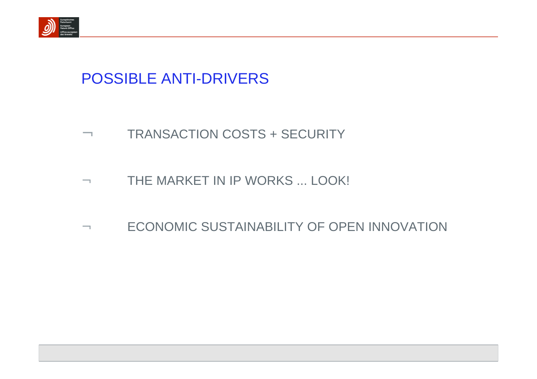

#### POSSIBLE ANTI-DRIVERS

- $\overline{\phantom{a}}$ TRANSACTION COSTS + SECURITY
- <sup>¬</sup> THE MARKET IN IP WORKS ... LOOK!
- $\neg$  ECONOMIC SUSTAINABILITY OF OPEN INNOVATION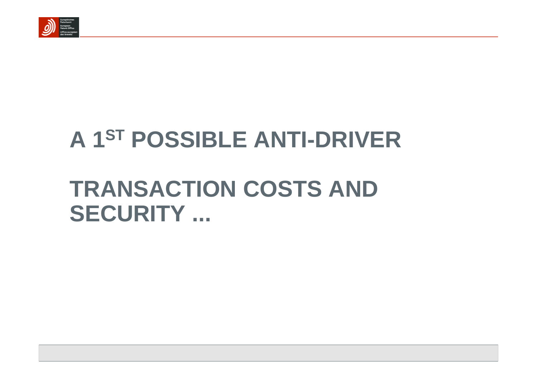

### A 1<sup>ST</sup> POSSIBLE ANTI-DRIVER

### **TRANSACTION COSTS AND SECURITY ...**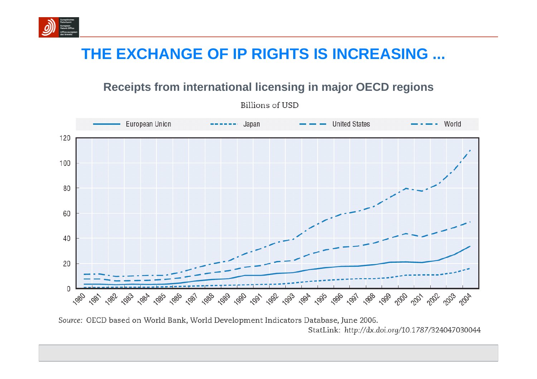

#### **THE EXCHANGE OF IP RIGHTS IS INCREASING ...**

#### **Receipts from international licensing in major OECD regions**



**Billions of USD** 

Source: OECD based on World Bank, World Development Indicators Database, June 2006. StatLink: http://dx.doi.org/10.1787/324047030044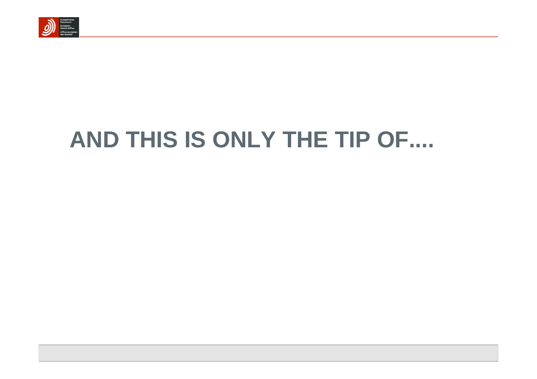

### **AND THIS IS ONLY THE TIP OF....**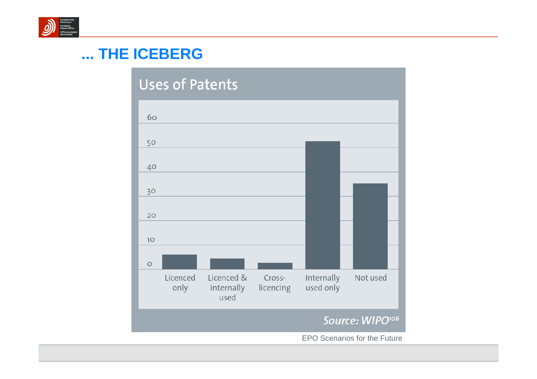

#### **... THE ICEBERG**

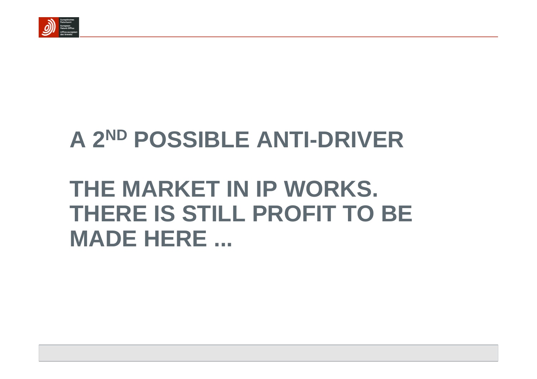

### **A 2ND POSSIBLE ANTI-DRIVER**

### **THE MARKET IN IP WORKS. THERE IS STILL PROFIT TO BE MADE HERE ...**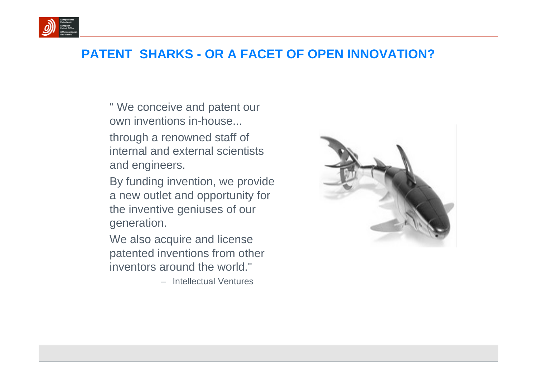

#### **PATENT SHARKS - OR A FACET OF OPEN INNOVATION?**

" We conceive and patent our own inventions in-house... through a renowned staff of

internal and external scientists and engineers.

By funding invention, we provide a new outlet and opportunity for the inventive geniuses of our generation.

We also acquire and license patented inventions from other inventors around the world."

– Intellectual Ventures

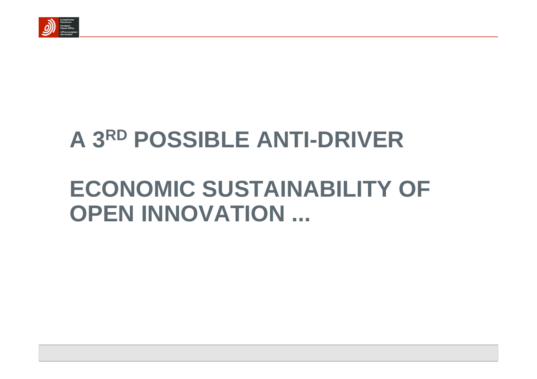

### **A 3RD POSSIBLE ANTI-DRIVER**

### **ECONOMIC SUSTAINABILITY OF OPEN INNOVATION ...**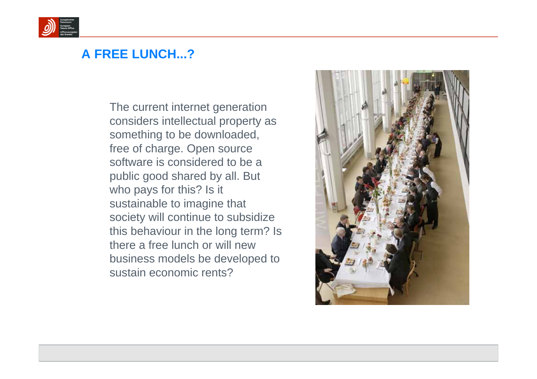

#### **A FREE LUNCH...?**

The current internet generation considers intellectual property as something to be downloaded, free of charge. Open source software is considered to be a public good shared by all. But who pays for this? Is it sustainable to imagine that society will continue to subsidize this behaviour in the long term? Is there a free lunch or will new business models be developed to sustain economic rents?

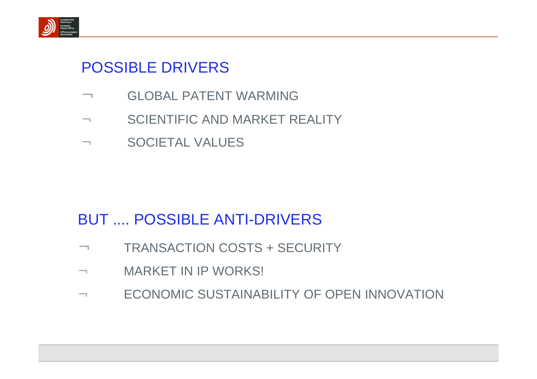

#### POSSIBLE DRIVERS

- ¬GLOBAL PATENT WARMING
- <sup>¬</sup> SCIENTIFIC AND MARKET REALITY
- <sup>¬</sup> SOCIETAL VALUES

#### BUT .... POSSIBLE ANTI-DRIVERS

- $\overline{\phantom{0}}$ TRANSACTION COSTS + SECURITY
- <sup>¬</sup> MARKET IN IP WORKS!
- ¬ ECONOMIC SUSTAINABILITY OF OPEN INNOVATION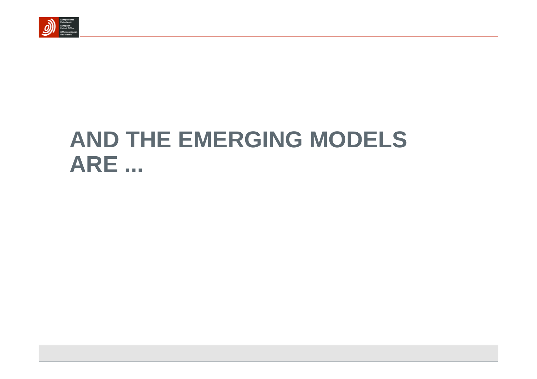

### **AND THE EMERGING MODELS ARE ...**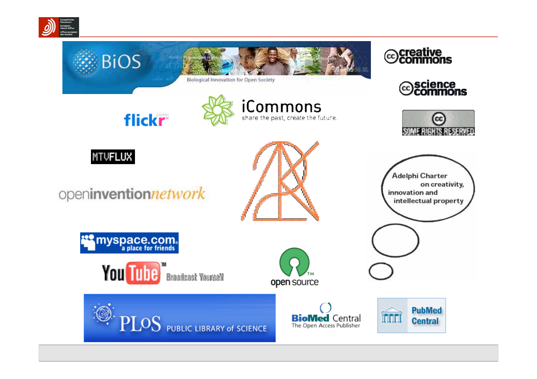

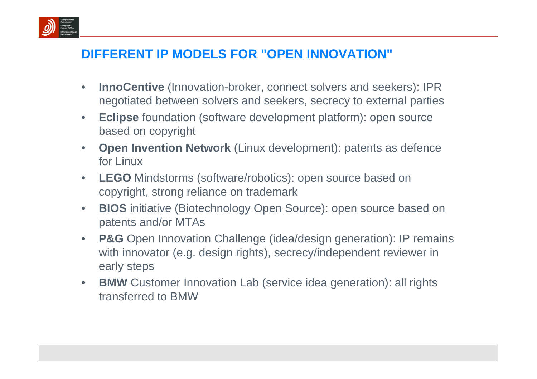

#### **DIFFERENT IP MODELS FOR "OPEN INNOVATION"**

- $\bullet$  **InnoCentive** (Innovation-broker, connect solvers and seekers): IPR negotiated between solvers and seekers, secrecy to external parties
- • **Eclipse** foundation (software development platform): open source based on copyright
- $\bullet$  **Open Invention Network** (Linux development): patents as defence for Linux
- • **LEGO** Mindstorms (software/robotics): open source based on copyright, strong reliance on trademark
- $\bullet$  **BIOS** initiative (Biotechnology Open Source): open source based on patents and/or MTAs
- •**P&G** Open Innovation Challenge (idea/design generation): IP remains with innovator (e.g. design rights), secrecy/independent reviewer in early steps
- $\bullet$ **BMW** Customer Innovation Lab (service idea generation): all rights transferred to BMW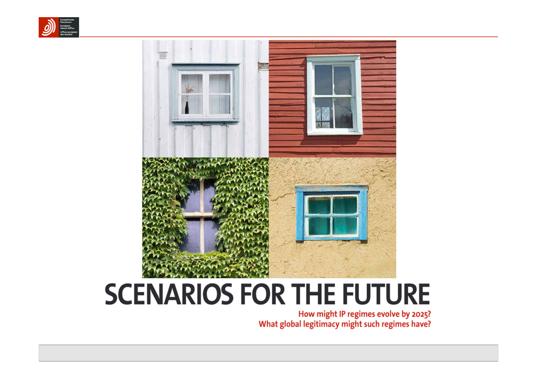



### **SCENARIOS FOR THE FUTURE**

How might IP regimes evolve by 2025? What global legitimacy might such regimes have?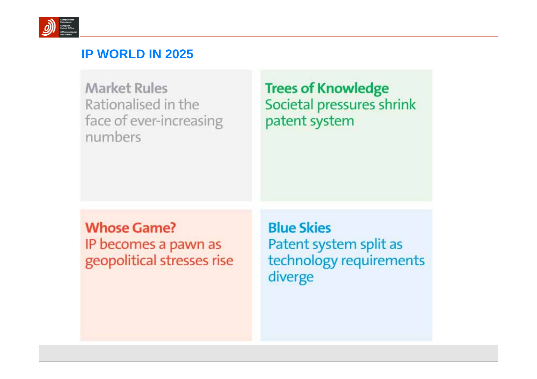

#### **IP WORLD IN 2025**

**Market Rules** Rationalised in the face of ever-increasing numbers

**Trees of Knowledge** Societal pressures shrink patent system

**Whose Game?** IP becomes a pawn as geopolitical stresses rise

**Blue Skies** Patent system split as technology requirements diverge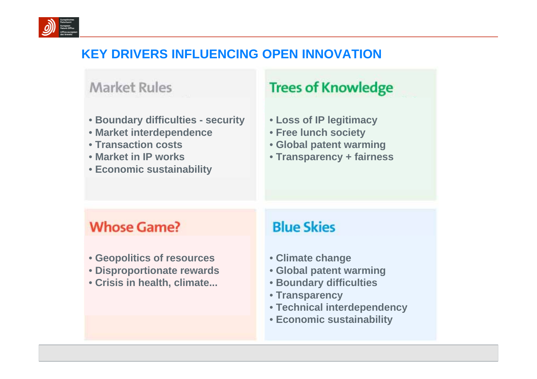

#### **KEY DRIVERS INFLUENCING OPEN INNOVATION**

#### **Market Rules**

- • **Boundary difficulties security**
- • **Market interdependence**
- • **Transaction costs**
- • **Market in IP works**
- • **Economic sustainability**

#### **Trees of Knowledge**

- • **Loss of IP legitimacy**
- • **Free lunch society**
- • **Global patent warming**
- • **Transparency + fairness**

#### **Whose Game?**

- • **Geopolitics of resources**
- • **Disproportionate rewards**
- • **Crisis in health, climate...**

#### **Blue Skies**

- • **Climate change**
- • **Global patent warming**
- • **Boundary difficulties**
- • **Transparency**
- • **Technical interdependency**
- • **Economic sustainability**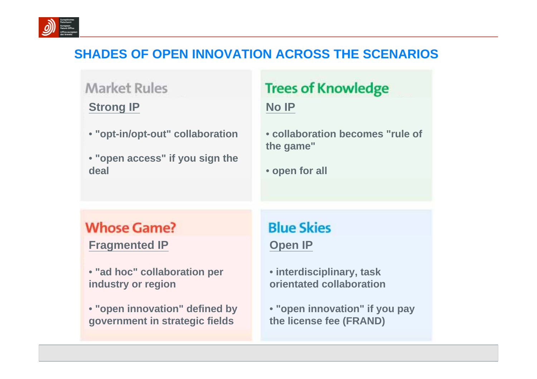

#### **SHADES OF OPEN INNOVATION ACROSS THE SCENARIOS**

#### **Market Rules Trees of Knowledge Strong IP No IP** • **collaboration becomes "rule of** • **"opt-in/opt-out" collaboration the game"** • **"open access" if you sign the deal** • **open for all Whose Game? Blue Skies Fragmented IP Open IP** • **interdisciplinary, task** • **"ad hoc" collaboration per industry or region orientated collaboration**

• **"open innovation" defined by government in strategic fields**

#### • **"open innovation" if you pay the license fee (FRAND)**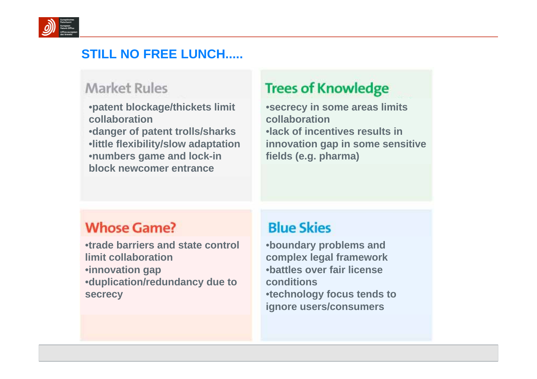

#### **STILL NO FREE LUNCH.....**

#### **Market Rules**

•**patent blockage/thickets limit collaboration** •**danger of patent trolls/sharks** •**little flexibility/slow adaptation** •**numbers game and lock-in block newcomer entrance**

#### **Trees of Knowledge**

•**secrecy in some areas limits collaboration** •**lack of incentives results in innovation gap in some sensitive fields (e.g. pharma)**

#### **Whose Game?**

•**trade barriers and state control limit collaboration** •**innovation gap** •**duplication/redundancy due to secrecy**

#### **Blue Skies**

•**boundary problems and complex legal framework** •**battles over fair license conditions** •**technology focus tends to ignore users/consumers**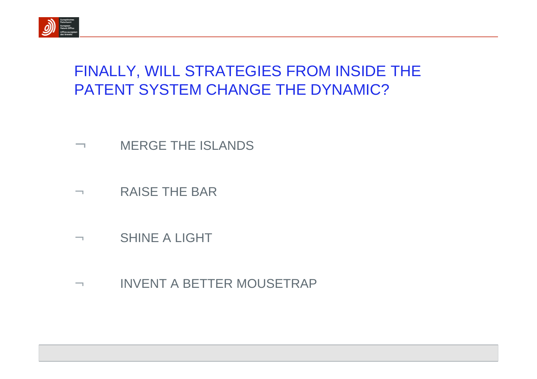

#### FINALLY, WILL STRATEGIES FROM INSIDE THE PATENT SYSTEM CHANGE THE DYNAMIC?

- $\overline{\phantom{a}}$ MERGE THE ISLANDS
- RAISE THE BAR
- **SHINE A LIGHT**
- INVENT A BETTER MOUSETRAP